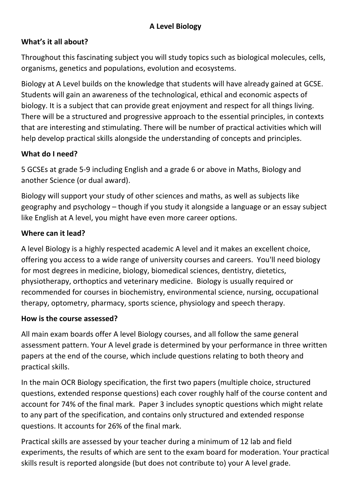# **A Level Biology**

#### **What's it all about?**

Throughout this fascinating subject you will study topics such as biological molecules, cells, organisms, genetics and populations, evolution and ecosystems.

Biology at A Level builds on the knowledge that students will have already gained at GCSE. Students will gain an awareness of the technological, ethical and economic aspects of biology. It is a subject that can provide great enjoyment and respect for all things living. There will be a structured and progressive approach to the essential principles, in contexts that are interesting and stimulating. There will be number of practical activities which will help develop practical skills alongside the understanding of concepts and principles.

#### **What do I need?**

5 GCSEs at grade 5‐9 including English and a grade 6 or above in Maths, Biology and another Science (or dual award).

Biology will support your study of other sciences and maths, as well as subjects like geography and psychology – though if you study it alongside a language or an essay subject like English at A level, you might have even more career options.

#### **Where can it lead?**

A level Biology is a highly respected academic A level and it makes an excellent choice, offering you access to a wide range of university courses and careers. You'll need biology for most degrees in medicine, biology, biomedical sciences, dentistry, dietetics, physiotherapy, orthoptics and veterinary medicine. Biology is usually required or recommended for courses in biochemistry, environmental science, nursing, occupational therapy, optometry, pharmacy, sports science, physiology and speech therapy.

#### **How is the course assessed?**

All main exam boards offer A level Biology courses, and all follow the same general assessment pattern. Your A level grade is determined by your performance in three written papers at the end of the course, which include questions relating to both theory and practical skills.

In the main OCR Biology specification, the first two papers (multiple choice, structured questions, extended response questions) each cover roughly half of the course content and account for 74% of the final mark. Paper 3 includes synoptic questions which might relate to any part of the specification, and contains only structured and extended response questions. It accounts for 26% of the final mark.

Practical skills are assessed by your teacher during a minimum of 12 lab and field experiments, the results of which are sent to the exam board for moderation. Your practical skills result is reported alongside (but does not contribute to) your A level grade.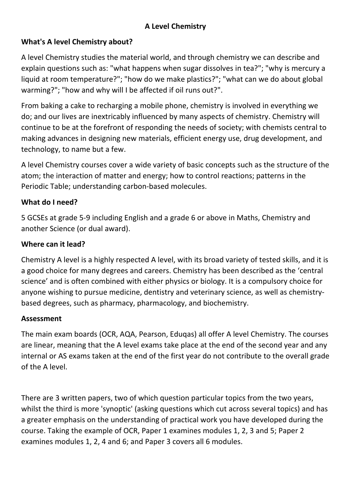# **A Level Chemistry**

## **What's A level Chemistry about?**

A level Chemistry studies the material world, and through chemistry we can describe and explain questions such as: "what happens when sugar dissolves in tea?"; "why is mercury a liquid at room temperature?"; "how do we make plastics?"; "what can we do about global warming?"; "how and why will I be affected if oil runs out?".

From baking a cake to recharging a mobile phone, chemistry is involved in everything we do; and our lives are inextricably influenced by many aspects of chemistry. Chemistry will continue to be at the forefront of responding the needs of society; with chemists central to making advances in designing new materials, efficient energy use, drug development, and technology, to name but a few.

A level Chemistry courses cover a wide variety of basic concepts such as the structure of the atom; the interaction of matter and energy; how to control reactions; patterns in the Periodic Table; understanding carbon‐based molecules.

## **What do I need?**

5 GCSEs at grade 5‐9 including English and a grade 6 or above in Maths, Chemistry and another Science (or dual award).

#### **Where can it lead?**

Chemistry A level is a highly respected A level, with its broad variety of tested skills, and it is a good choice for many degrees and careers. Chemistry has been described as the 'central science' and is often combined with either physics or biology. It is a compulsory choice for anyone wishing to pursue medicine, dentistry and veterinary science, as well as chemistry‐ based degrees, such as pharmacy, pharmacology, and biochemistry.

#### **Assessment**

The main exam boards (OCR, AQA, Pearson, Eduqas) all offer A level Chemistry. The courses are linear, meaning that the A level exams take place at the end of the second year and any internal or AS exams taken at the end of the first year do not contribute to the overall grade of the A level.

There are 3 written papers, two of which question particular topics from the two years, whilst the third is more 'synoptic' (asking questions which cut across several topics) and has a greater emphasis on the understanding of practical work you have developed during the course. Taking the example of OCR, Paper 1 examines modules 1, 2, 3 and 5; Paper 2 examines modules 1, 2, 4 and 6; and Paper 3 covers all 6 modules.